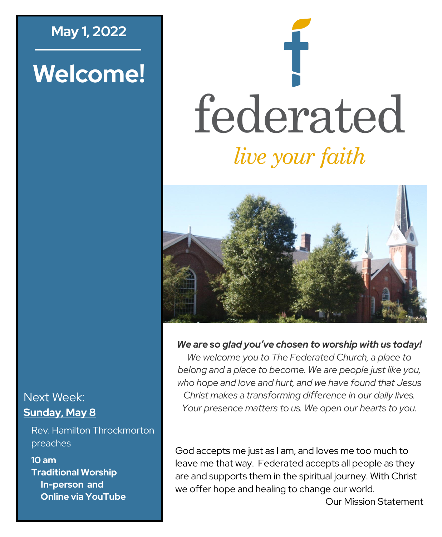## **May 1, 2022**

# **Welcome!**

# federated *live your faith*



#### *We are so glad you've chosen to worship with us today!*

*We welcome you to The Federated Church, a place to belong and a place to become. We are people just like you, who hope and love and hurt, and we have found that Jesus Christ makes a transforming difference in our daily lives. Your presence matters to us. We open our hearts to you.*

God accepts me just as I am, and loves me too much to leave me that way. Federated accepts all people as they are and supports them in the spiritual journey. With Christ we offer hope and healing to change our world.

Our Mission Statement

#### Next Week: **Sunday, May 8**

Rev. Hamilton Throckmorton preaches

**10 am Traditional Worship In-person and Online via YouTube**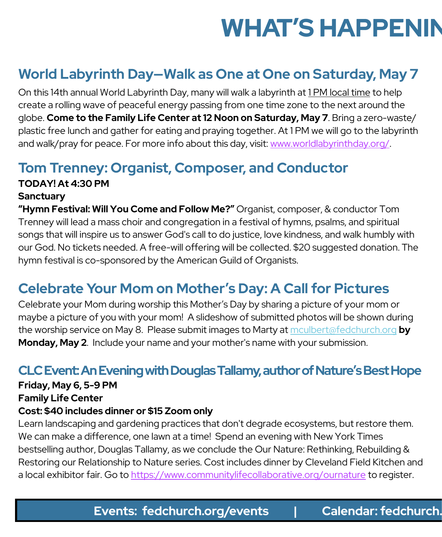# **WHAT'S HAPPENIN**

# **World Labyrinth Day—Walk as One at One on Saturday, May 7**

On this 14th annual World Labyrinth Day, many will walk a labyrinth at 1 PM local time to help create a rolling wave of peaceful energy passing from one time zone to the next around the globe. **Come to the Family Life Center at 12 Noon on Saturday, May 7**. Bring a zero-waste/ plastic free lunch and gather for eating and praying together. At 1 PM we will go to the labyrinth and walk/pray for peace. For more info about this day, visit: www.worldlabyrinthday.org/.

# **Tom Trenney: Organist, Composer, and Conductor**

# **TODAY! At 4:30 PM**

#### **Sanctuary**

**"Hymn Festival: Will You Come and Follow Me?"** Organist, composer, & conductor Tom Trenney will lead a mass choir and congregation in a festival of hymns, psalms, and spiritual songs that will inspire us to answer God's call to do justice, love kindness, and walk humbly with our God. No tickets needed. A free-will offering will be collected. \$20 suggested donation. The hymn festival is co-sponsored by the American Guild of Organists.

# **Celebrate Your Mom on Mother's Day: A Call for Pictures**

Celebrate your Mom during worship this Mother's Day by sharing a picture of your mom or maybe a picture of you with your mom! A slideshow of submitted photos will be shown during the worship service on May 8. Please submit images to Marty at [mculbert@fedchurch.org](mailto:mculbert@fedchurch.org?subject=Mother) **by Monday, May 2**. Include your name and your mother's name with your submission.

### **CLC Event: An Evening with Douglas Tallamy, author of Nature's Best Hope**

#### **Friday, May 6, 5-9 PM**

#### **Family Life Center**

#### **Cost: \$40 includes dinner or \$15 Zoom only**

Learn landscaping and gardening practices that don't degrade ecosystems, but restore them. We can make a difference, one lawn at a time! Spend an evening with New York Times bestselling author, Douglas Tallamy, as we conclude the Our Nature: Rethinking, Rebuilding & Restoring our Relationship to Nature series. Cost includes dinner by Cleveland Field Kitchen and a local exhibitor fair. Go to <https://www.communitylifecollaborative.org/ournature> to register.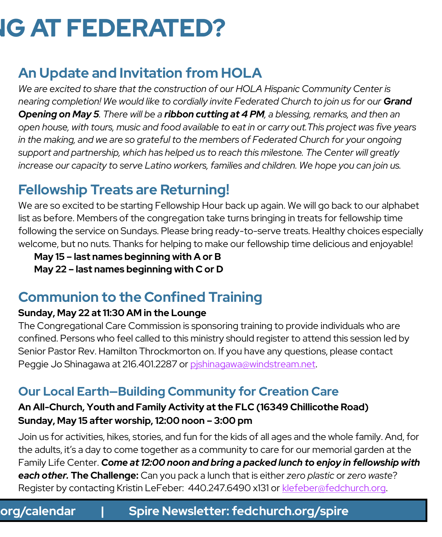# **IG AT FEDERATED?**

# **An Update and Invitation from HOLA**

*[We are excited to share that the construction of our HOLA Hispanic Community Center is](https://www.fedchurch.org/)  [nearing completion! We would like to cordially invite Federated Church to join us for our](https://www.fedchurch.org/) Grand Opening on May 5. There will be a ribbon cutting at 4 PM[, a blessing, remarks, and then an](https://www.fedchurch.org/)  [open house, with tours, music and food available to eat in or carry out.This project was five years](https://www.fedchurch.org/)  [in the making, and we are so grateful to the members of Federated Church for your ongoing](https://www.fedchurch.org/)  [support and partnership, which has helped us to reach this milestone. The Center will greatly](https://www.fedchurch.org/)  [increase our capacity to serve Latino workers, families and children. We hope you can join us.](https://www.fedchurch.org/)* 

# **Fellowship Treats are Returning!**

We are so excited to be starting Fellowship Hour back up again. We will go back to our alphabet list as before. Members of the congregation take turns bringing in treats for fellowship time following the service on Sundays. Please bring ready-to-serve treats. Healthy choices especially welcome, but no nuts. Thanks for helping to make our fellowship time delicious and enjoyable!

**May 15 – last names beginning with A or B May 22 – last names beginning with C or D**

# **Communion to the Confined Training**

#### **Sunday, May 22 at 11:30 AM in the Lounge**

The Congregational Care Commission is sponsoring training to provide individuals who are confined. Persons who feel called to this ministry should register to attend this session led by Senior Pastor Rev. Hamilton Throckmorton on. If you have any questions, please contact Peggie Jo Shinagawa at 216.401.2287 or pishinagawa@windstream.net.

## **Our Local Earth—Building Community for Creation Care**

#### **An All-Church, Youth and Family Activity at the FLC (16349 Chillicothe Road) Sunday, May 15 after worship, 12:00 noon – 3:00 pm**

Join us for activities, hikes, stories, and fun for the kids of all ages and the whole family. And, for the adults, it's a day to come together as a community to care for our memorial garden at the Family Life Center. *Come at 12:00 noon and bring a packed lunch to enjoy in fellowship with each other.* **The Challenge:** Can you pack a lunch that is either *zero plastic* or *zero waste*? Register by contacting Kristin LeFeber: 440.247.6490 x131 or [klefeber@fedchurch.org.](mailto:klefeber@fedchurch.org)

## **Events: fedchurch.org/events | Calendar: fedchurch.org/calendar | Spire Newsletter: fedchurch.org/spire Events: fedchurch.org/events | Calendar: fedchurch.org/calendar | Spire Newsletter: fedchurch.org/spire**